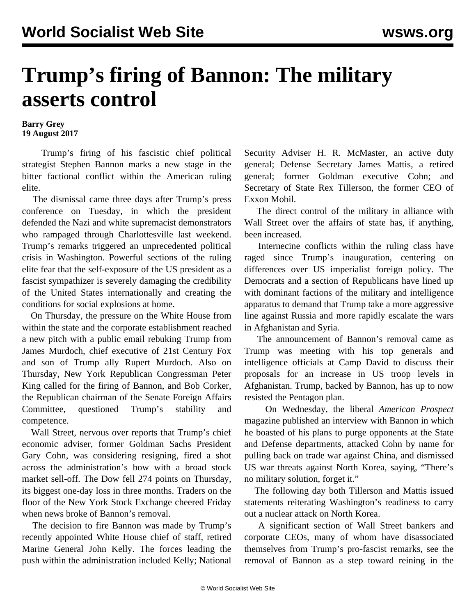## **Trump's firing of Bannon: The military asserts control**

## **Barry Grey 19 August 2017**

 Trump's firing of his fascistic chief political strategist Stephen Bannon marks a new stage in the bitter factional conflict within the American ruling elite.

 The dismissal came three days after Trump's press conference on Tuesday, in which the president defended the Nazi and white supremacist demonstrators who rampaged through Charlottesville last weekend. Trump's remarks triggered an unprecedented political crisis in Washington. Powerful sections of the ruling elite fear that the self-exposure of the US president as a fascist sympathizer is severely damaging the credibility of the United States internationally and creating the conditions for social explosions at home.

 On Thursday, the pressure on the White House from within the state and the corporate establishment reached a new pitch with a public email rebuking Trump from James Murdoch, chief executive of 21st Century Fox and son of Trump ally Rupert Murdoch. Also on Thursday, New York Republican Congressman Peter King called for the firing of Bannon, and Bob Corker, the Republican chairman of the Senate Foreign Affairs Committee, questioned Trump's stability and competence.

 Wall Street, nervous over reports that Trump's chief economic adviser, former Goldman Sachs President Gary Cohn, was considering resigning, fired a shot across the administration's bow with a broad stock market sell-off. The Dow fell 274 points on Thursday, its biggest one-day loss in three months. Traders on the floor of the New York Stock Exchange cheered Friday when news broke of Bannon's removal.

 The decision to fire Bannon was made by Trump's recently appointed White House chief of staff, retired Marine General John Kelly. The forces leading the push within the administration included Kelly; National Security Adviser H. R. McMaster, an active duty general; Defense Secretary James Mattis, a retired general; former Goldman executive Cohn; and Secretary of State Rex Tillerson, the former CEO of Exxon Mobil.

 The direct control of the military in alliance with Wall Street over the affairs of state has, if anything, been increased.

 Internecine conflicts within the ruling class have raged since Trump's inauguration, centering on differences over US imperialist foreign policy. The Democrats and a section of Republicans have lined up with dominant factions of the military and intelligence apparatus to demand that Trump take a more aggressive line against Russia and more rapidly escalate the wars in Afghanistan and Syria.

 The announcement of Bannon's removal came as Trump was meeting with his top generals and intelligence officials at Camp David to discuss their proposals for an increase in US troop levels in Afghanistan. Trump, backed by Bannon, has up to now resisted the Pentagon plan.

 On Wednesday, the liberal *American Prospect* magazine published an interview with Bannon in which he boasted of his plans to purge opponents at the State and Defense departments, attacked Cohn by name for pulling back on trade war against China, and dismissed US war threats against North Korea, saying, "There's no military solution, forget it."

 The following day both Tillerson and Mattis issued statements reiterating Washington's readiness to carry out a nuclear attack on North Korea.

 A significant section of Wall Street bankers and corporate CEOs, many of whom have disassociated themselves from Trump's pro-fascist remarks, see the removal of Bannon as a step toward reining in the